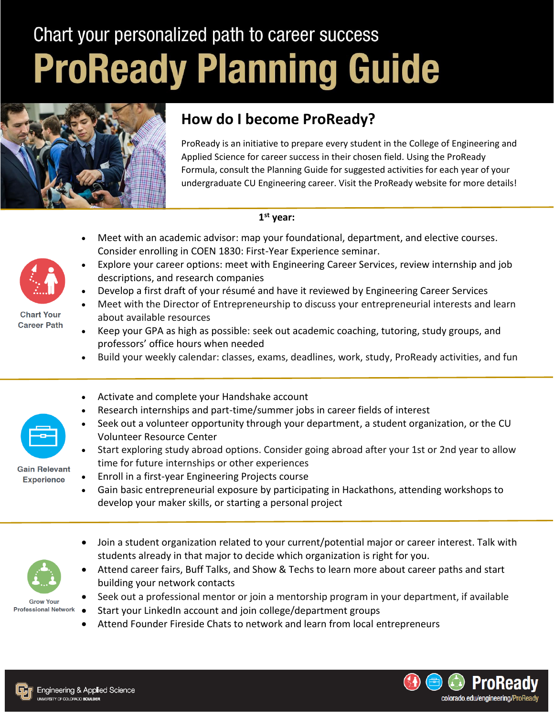## Chart your personalized path to career success **ProReady Planning Guide**



## **How do I become ProReady?**

ProReady is an initiative to prepare every student in the College of Engineering and Applied Science for career success in their chosen field. Using the ProReady Formula, consult the Planning Guide for suggested activities for each year of your undergraduate CU Engineering career. Visit the ProReady website for more details!

## **1 st year:**

- Meet with an academic advisor: map your foundational, department, and elective courses. Consider enrolling in COEN 1830: First-Year Experience seminar.
- Explore your career options: meet with Engineering Career Services, review internship and job descriptions, and research companies
- Develop a first draft of your résumé and have it reviewed by Engineering Career Services
- Meet with the Director of Entrepreneurship to discuss your entrepreneurial interests and learn about available resources
- Keep your GPA as high as possible: seek out academic coaching, tutoring, study groups, and professors' office hours when needed
- Build your weekly calendar: classes, exams, deadlines, work, study, ProReady activities, and fun
- Activate and complete your Handshake account
	- Research internships and part-time/summer jobs in career fields of interest
	- Seek out a volunteer opportunity through your department, a student organization, or the CU Volunteer Resource Center
- Start exploring study abroad options. Consider going abroad after your 1st or 2nd year to allow time for future internships or other experiences
- **Gain Relevant**  Enroll in a first-year Engineering Projects course
	- Gain basic entrepreneurial exposure by participating in Hackathons, attending workshops to develop your maker skills, or starting a personal project
	- Join a student organization related to your current/potential major or career interest. Talk with students already in that major to decide which organization is right for you.
	- Attend career fairs, Buff Talks, and Show & Techs to learn more about career paths and start building your network contacts
	- Seek out a professional mentor or join a mentorship program in your department, if available
		- Start your LinkedIn account and join college/department groups
		- Attend Founder Fireside Chats to network and learn from local entrepreneurs





**Chart Your Career Path** 



**Experience** 

**Grow Your Professional Network**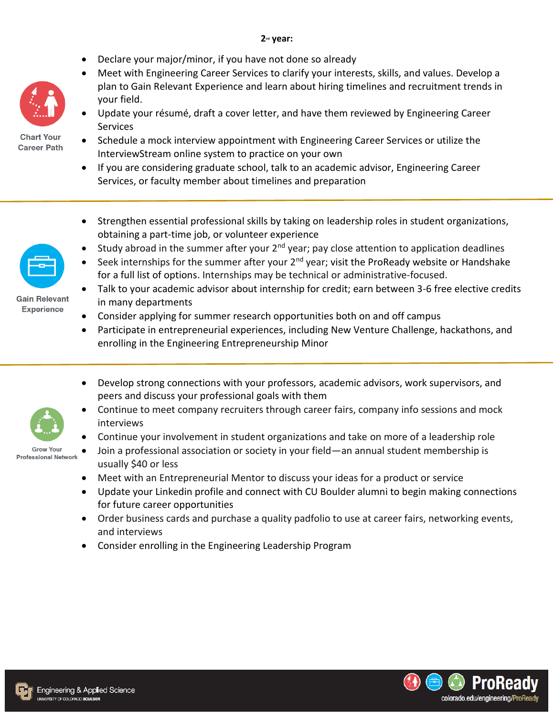## **2nd year:**

- Declare your major/minor, if you have not done so already
- Meet with Engineering Career Services to clarify your interests, skills, and values. Develop a plan to Gain Relevant Experience and learn about hiring timelines and recruitment trends in your field.
- Update your résumé, draft a cover letter, and have them reviewed by Engineering Career **Services**



- Schedule a mock interview appointment with Engineering Career Services or utilize the InterviewStream online system to practice on your own
- If you are considering graduate school, talk to an academic advisor, Engineering Career Services, or faculty member about timelines and preparation
- Strengthen essential professional skills by taking on leadership roles in student organizations, obtaining a part-time job, or volunteer experience
- **Study abroad in the summer after your 2<sup>nd</sup> year; pay close attention to application deadlines**



- Talk to your academic advisor about internship for credit; earn between 3-6 free elective credits in many departments
- Consider applying for summer research opportunities both on and off campus
- Participate in entrepreneurial experiences, including New Venture Challenge, hackathons, and enrolling in the Engineering Entrepreneurship Minor
- Develop strong connections with your professors, academic advisors, work supervisors, and peers and discuss your professional goals with them
- Continue to meet company recruiters through career fairs, company info sessions and mock interviews
- Continue your involvement in student organizations and take on more of a leadership role
- **Grow Your Professional Network**
- Join a professional association or society in your field—an annual student membership is usually \$40 or less
- Meet with an Entrepreneurial Mentor to discuss your ideas for a product or service
- Update your Linkedin profile and connect with CU Boulder alumni to begin making connections for future career opportunities
- Order business cards and purchase a quality padfolio to use at career fairs, networking events, and interviews
- Consider enrolling in the Engineering Leadership Program





**Gain Relevant Experience** 

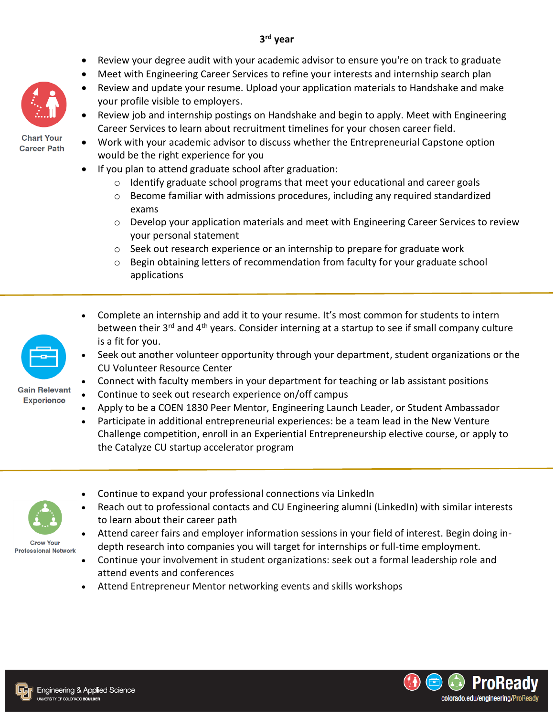- Review your degree audit with your academic advisor to ensure you're on track to graduate
- Meet with Engineering Career Services to refine your interests and internship search plan
- Review and update your resume. Upload your application materials to Handshake and make your profile visible to employers.
- Review job and internship postings on Handshake and begin to apply. Meet with Engineering Career Services to learn about recruitment timelines for your chosen career field.
- Work with your academic advisor to discuss whether the Entrepreneurial Capstone option would be the right experience for you
	- If you plan to attend graduate school after graduation:
		- $\circ$  Identify graduate school programs that meet your educational and career goals
		- $\circ$  Become familiar with admissions procedures, including any required standardized exams
		- o Develop your application materials and meet with Engineering Career Services to review your personal statement
		- o Seek out research experience or an internship to prepare for graduate work
		- $\circ$  Begin obtaining letters of recommendation from faculty for your graduate school applications
	- Complete an internship and add it to your resume. It's most common for students to intern between their 3<sup>rd</sup> and 4<sup>th</sup> years. Consider interning at a startup to see if small company culture is a fit for you.
	- Seek out another volunteer opportunity through your department, student organizations or the CU Volunteer Resource Center
	- Connect with faculty members in your department for teaching or lab assistant positions
	- Continue to seek out research experience on/off campus
		- Apply to be a COEN 1830 Peer Mentor, Engineering Launch Leader, or Student Ambassador
	- Participate in additional entrepreneurial experiences: be a team lead in the New Venture Challenge competition, enroll in an Experiential Entrepreneurship elective course, or apply to the Catalyze CU startup accelerator program
	- Continue to expand your professional connections via LinkedIn
	- Reach out to professional contacts and CU Engineering alumni (LinkedIn) with similar interests to learn about their career path
- **Grow Your Professional Network**
- Attend career fairs and employer information sessions in your field of interest. Begin doing indepth research into companies you will target for internships or full-time employment.
	- Continue your involvement in student organizations: seek out a formal leadership role and attend events and conferences
	- Attend Entrepreneur Mentor networking events and skills workshops







Gain Relevant **Experience** 





**Chart Your Career Path**